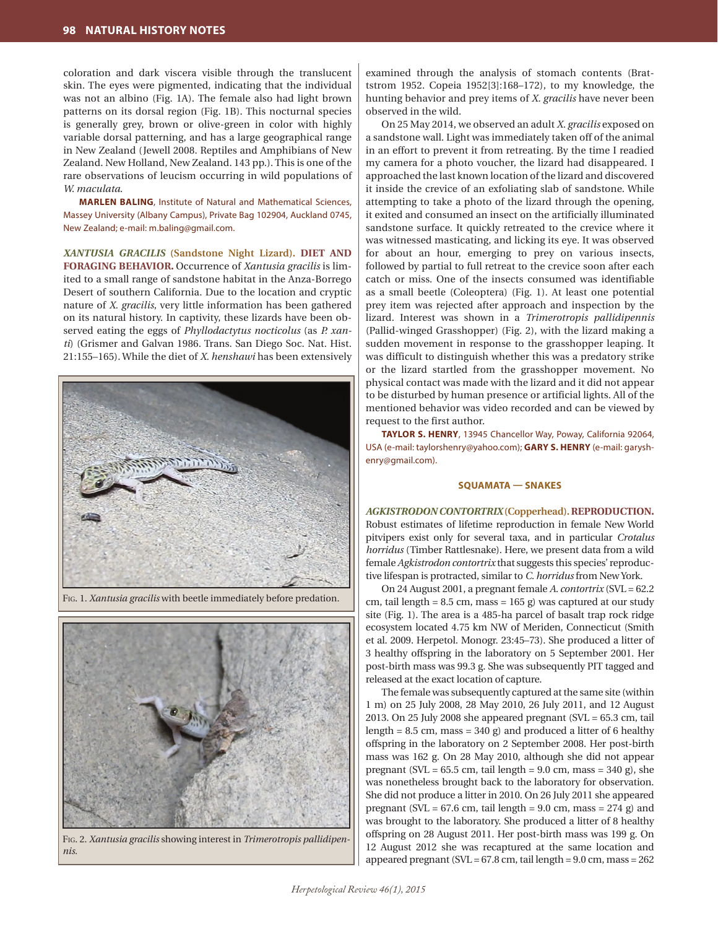coloration and dark viscera visible through the translucent skin. The eyes were pigmented, indicating that the individual was not an albino (Fig. 1A). The female also had light brown patterns on its dorsal region (Fig. 1B). This nocturnal species is generally grey, brown or olive-green in color with highly variable dorsal patterning, and has a large geographical range in New Zealand (Jewell 2008. Reptiles and Amphibians of New Zealand. New Holland, New Zealand. 143 pp.). This is one of the rare observations of leucism occurring in wild populations of *W. maculata*.

**MARLEN BALING**, Institute of Natural and Mathematical Sciences, Massey University (Albany Campus), Private Bag 102904, Auckland 0745, New Zealand; e-mail: m.baling@gmail.com.

*XANTUSIA GRACILIS* **(Sandstone Night Lizard). DIET AND FORAGING BEHAVIOR.** Occurrence of *Xantusia gracilis* is limited to a small range of sandstone habitat in the Anza-Borrego Desert of southern California. Due to the location and cryptic nature of *X. gracilis*, very little information has been gathered on its natural history. In captivity, these lizards have been observed eating the eggs of *Phyllodactytus nocticolus* (as *P. xanti*) (Grismer and Galvan 1986. Trans. San Diego Soc. Nat. Hist. 21:155–165). While the diet of *X. henshawi* has been extensively



Fig. 1. *Xantusia gracilis* with beetle immediately before predation.



Fig. 2. *Xantusia gracilis* showing interest in *Trimerotropis pallidipennis.*

examined through the analysis of stomach contents (Brattstrom 1952. Copeia 1952[3]:168–172), to my knowledge, the hunting behavior and prey items of *X. gracilis* have never been observed in the wild.

On 25 May 2014, we observed an adult *X. gracilis* exposed on a sandstone wall. Light was immediately taken off of the animal in an effort to prevent it from retreating. By the time I readied my camera for a photo voucher, the lizard had disappeared. I approached the last known location of the lizard and discovered it inside the crevice of an exfoliating slab of sandstone. While attempting to take a photo of the lizard through the opening, it exited and consumed an insect on the artificially illuminated sandstone surface. It quickly retreated to the crevice where it was witnessed masticating, and licking its eye. It was observed for about an hour, emerging to prey on various insects, followed by partial to full retreat to the crevice soon after each catch or miss. One of the insects consumed was identifiable as a small beetle (Coleoptera) (Fig. 1). At least one potential prey item was rejected after approach and inspection by the lizard. Interest was shown in a *Trimerotropis pallidipennis* (Pallid-winged Grasshopper) (Fig. 2), with the lizard making a sudden movement in response to the grasshopper leaping. It was difficult to distinguish whether this was a predatory strike or the lizard startled from the grasshopper movement. No physical contact was made with the lizard and it did not appear to be disturbed by human presence or artificial lights. All of the mentioned behavior was video recorded and can be viewed by request to the first author.

**TAYLOR S. HENRY**, 13945 Chancellor Way, Poway, California 92064, USA (e-mail: taylorshenry@yahoo.com); **GARY S. HENRY** (e-mail: garyshenry@gmail.com).

## **SQUAMATA — SNAKES**

*AGKISTRODON CONTORTRIX***(Copperhead). REPRODUCTION.** Robust estimates of lifetime reproduction in female New World pitvipers exist only for several taxa, and in particular *Crotalus horridus* (Timber Rattlesnake). Here, we present data from a wild female *Agkistrodon contortrix* that suggests this species' reproductive lifespan is protracted, similar to *C. horridus* from New York.

On 24 August 2001, a pregnant female *A. contortrix* (SVL = 62.2 cm, tail length =  $8.5$  cm, mass =  $165$  g) was captured at our study site (Fig. 1). The area is a 485-ha parcel of basalt trap rock ridge ecosystem located 4.75 km NW of Meriden, Connecticut (Smith et al. 2009. Herpetol. Monogr. 23:45–73). She produced a litter of 3 healthy offspring in the laboratory on 5 September 2001. Her post-birth mass was 99.3 g. She was subsequently PIT tagged and released at the exact location of capture.

The female was subsequently captured at the same site (within 1 m) on 25 July 2008, 28 May 2010, 26 July 2011, and 12 August 2013. On 25 July 2008 she appeared pregnant  $(SVL = 65.3$  cm, tail length =  $8.5$  cm, mass =  $340$  g) and produced a litter of 6 healthy offspring in the laboratory on 2 September 2008. Her post-birth mass was 162 g. On 28 May 2010, although she did not appear pregnant (SVL =  $65.5$  cm, tail length =  $9.0$  cm, mass =  $340$  g), she was nonetheless brought back to the laboratory for observation. She did not produce a litter in 2010. On 26 July 2011 she appeared pregnant (SVL =  $67.6$  cm, tail length =  $9.0$  cm, mass =  $274$  g) and was brought to the laboratory. She produced a litter of 8 healthy offspring on 28 August 2011. Her post-birth mass was 199 g. On 12 August 2012 she was recaptured at the same location and appeared pregnant (SVL = 67.8 cm, tail length = 9.0 cm, mass = 262